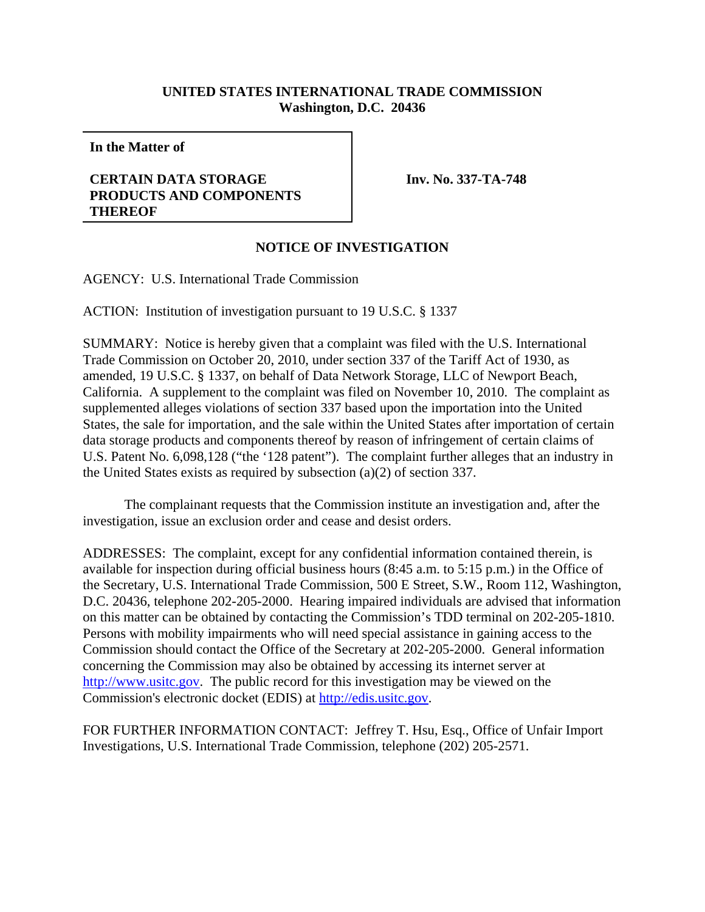## **UNITED STATES INTERNATIONAL TRADE COMMISSION Washington, D.C. 20436**

**In the Matter of**

## **CERTAIN DATA STORAGE PRODUCTS AND COMPONENTS THEREOF**

**Inv. No. 337-TA-748**

## **NOTICE OF INVESTIGATION**

AGENCY: U.S. International Trade Commission

ACTION: Institution of investigation pursuant to 19 U.S.C. § 1337

SUMMARY: Notice is hereby given that a complaint was filed with the U.S. International Trade Commission on October 20, 2010, under section 337 of the Tariff Act of 1930, as amended, 19 U.S.C. § 1337, on behalf of Data Network Storage, LLC of Newport Beach, California. A supplement to the complaint was filed on November 10, 2010. The complaint as supplemented alleges violations of section 337 based upon the importation into the United States, the sale for importation, and the sale within the United States after importation of certain data storage products and components thereof by reason of infringement of certain claims of U.S. Patent No. 6,098,128 ("the '128 patent"). The complaint further alleges that an industry in the United States exists as required by subsection (a)(2) of section 337.

The complainant requests that the Commission institute an investigation and, after the investigation, issue an exclusion order and cease and desist orders.

ADDRESSES: The complaint, except for any confidential information contained therein, is available for inspection during official business hours (8:45 a.m. to 5:15 p.m.) in the Office of the Secretary, U.S. International Trade Commission, 500 E Street, S.W., Room 112, Washington, D.C. 20436, telephone 202-205-2000. Hearing impaired individuals are advised that information on this matter can be obtained by contacting the Commission's TDD terminal on 202-205-1810. Persons with mobility impairments who will need special assistance in gaining access to the Commission should contact the Office of the Secretary at 202-205-2000. General information concerning the Commission may also be obtained by accessing its internet server at http://www.usitc.gov. The public record for this investigation may be viewed on the Commission's electronic docket (EDIS) at http://edis.usitc.gov.

FOR FURTHER INFORMATION CONTACT: Jeffrey T. Hsu, Esq., Office of Unfair Import Investigations, U.S. International Trade Commission, telephone (202) 205-2571.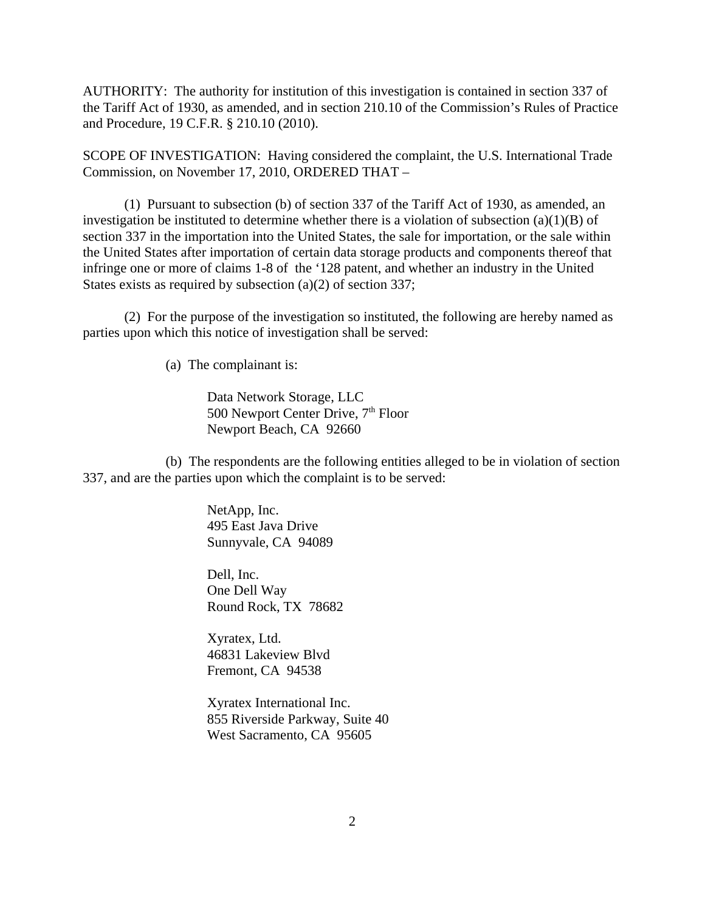AUTHORITY: The authority for institution of this investigation is contained in section 337 of the Tariff Act of 1930, as amended, and in section 210.10 of the Commission's Rules of Practice and Procedure, 19 C.F.R. § 210.10 (2010).

SCOPE OF INVESTIGATION: Having considered the complaint, the U.S. International Trade Commission, on November 17, 2010, ORDERED THAT –

(1) Pursuant to subsection (b) of section 337 of the Tariff Act of 1930, as amended, an investigation be instituted to determine whether there is a violation of subsection  $(a)(1)(B)$  of section 337 in the importation into the United States, the sale for importation, or the sale within the United States after importation of certain data storage products and components thereof that infringe one or more of claims 1-8 of the '128 patent, and whether an industry in the United States exists as required by subsection (a)(2) of section 337;

(2) For the purpose of the investigation so instituted, the following are hereby named as parties upon which this notice of investigation shall be served:

(a) The complainant is:

Data Network Storage, LLC 500 Newport Center Drive, 7<sup>th</sup> Floor Newport Beach, CA 92660

(b) The respondents are the following entities alleged to be in violation of section 337, and are the parties upon which the complaint is to be served:

> NetApp, Inc. 495 East Java Drive Sunnyvale, CA 94089

Dell, Inc. One Dell Way Round Rock, TX 78682

Xyratex, Ltd. 46831 Lakeview Blvd Fremont, CA 94538

Xyratex International Inc. 855 Riverside Parkway, Suite 40 West Sacramento, CA 95605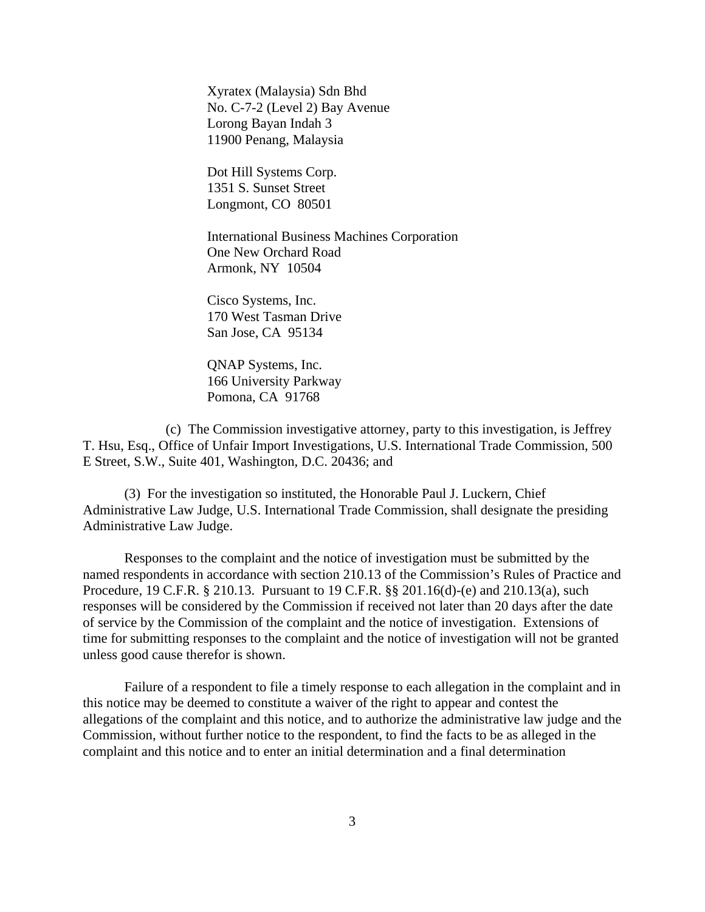Xyratex (Malaysia) Sdn Bhd No. C-7-2 (Level 2) Bay Avenue Lorong Bayan Indah 3 11900 Penang, Malaysia

Dot Hill Systems Corp. 1351 S. Sunset Street Longmont, CO 80501

International Business Machines Corporation One New Orchard Road Armonk, NY 10504

Cisco Systems, Inc. 170 West Tasman Drive San Jose, CA 95134

QNAP Systems, Inc. 166 University Parkway Pomona, CA 91768

(c) The Commission investigative attorney, party to this investigation, is Jeffrey T. Hsu, Esq., Office of Unfair Import Investigations, U.S. International Trade Commission, 500 E Street, S.W., Suite 401, Washington, D.C. 20436; and

(3) For the investigation so instituted, the Honorable Paul J. Luckern, Chief Administrative Law Judge, U.S. International Trade Commission, shall designate the presiding Administrative Law Judge.

Responses to the complaint and the notice of investigation must be submitted by the named respondents in accordance with section 210.13 of the Commission's Rules of Practice and Procedure, 19 C.F.R. § 210.13. Pursuant to 19 C.F.R. §§ 201.16(d)-(e) and 210.13(a), such responses will be considered by the Commission if received not later than 20 days after the date of service by the Commission of the complaint and the notice of investigation. Extensions of time for submitting responses to the complaint and the notice of investigation will not be granted unless good cause therefor is shown.

Failure of a respondent to file a timely response to each allegation in the complaint and in this notice may be deemed to constitute a waiver of the right to appear and contest the allegations of the complaint and this notice, and to authorize the administrative law judge and the Commission, without further notice to the respondent, to find the facts to be as alleged in the complaint and this notice and to enter an initial determination and a final determination